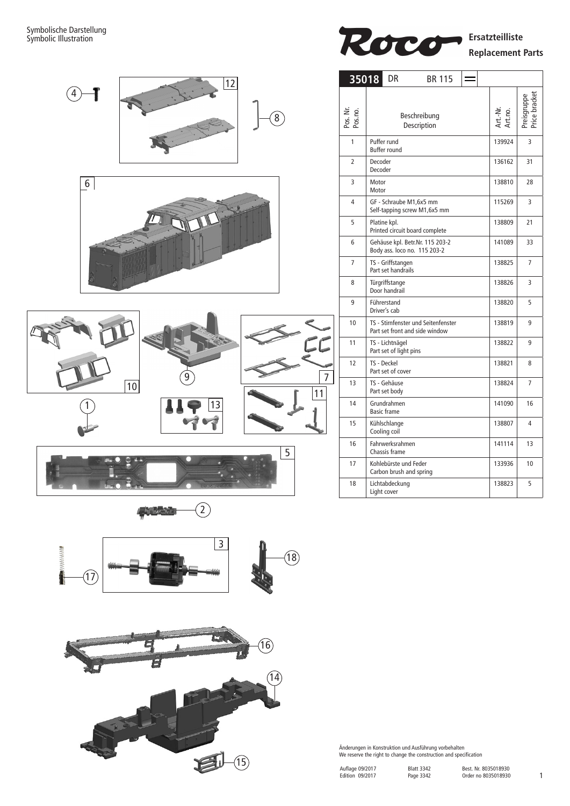

$$
\color{blue}\longrightarrow^{\bullet}
$$





Roco **Ersatzteilliste Replacement Parts**

| 35018               | DR<br><b>BR 115</b>                                                   |                     |             |
|---------------------|-----------------------------------------------------------------------|---------------------|-------------|
| Pos. Nr.<br>Pos.no. | Beschreibung<br>Description                                           | Art.-Nr.<br>Art.no. | Preisgruppe |
| 1                   | Puffer rund<br><b>Buffer round</b>                                    | 139924              | 3           |
| 2                   | Decoder<br>Decoder                                                    | 136162              | 31          |
| 3                   | Motor<br>Motor                                                        | 138810              | 28          |
| 4                   | GF - Schraube M1,6x5 mm<br>Self-tapping screw M1,6x5 mm               | 115269              | 3           |
| 5                   | Platine kpl.<br>Printed circuit board complete                        | 138809              | 21          |
| 6                   | Gehäuse kpl. Betr.Nr. 115 203-2<br>Body ass. loco no. 115 203-2       | 141089              | 33          |
| 7                   | TS - Griffstangen<br>Part set handrails                               | 138825              | 7           |
| 8                   | Türgriffstange<br>Door handrail                                       | 138826              | 3           |
| 9                   | Führerstand<br>Driver's cab                                           | 138820              | 5           |
| 10                  | TS - Stirnfenster und Seitenfenster<br>Part set front and side window | 138819              | 9           |
| 11                  | TS - Lichtnägel<br>Part set of light pins                             | 138822              | 9           |
| 12                  | TS - Deckel<br>Part set of cover                                      | 138821              | 8           |
| 13                  | TS - Gehäuse<br>Part set body                                         | 138824              | 7           |
| 14                  | Grundrahmen<br><b>Basic frame</b>                                     | 141090              | 16          |
| 15                  | Kühlschlange<br>Cooling coil                                          | 138807              | 4           |
| 16                  | Fahrwerksrahmen<br>Chassis frame                                      | 141114              | 13          |
| 17                  | Kohlebürste und Feder<br>Carbon brush and spring                      | 133936              | 10          |
| 18                  | Lichtabdeckung<br>Light cover                                         | 138823              | 5           |

Änderungen in Konstruktion und Ausführung vorbehalten We reserve the right to change the construction and specification

Blatt 3342 Page 3342

| Auflage 09/2017 |
|-----------------|
| Edition 09/2017 |